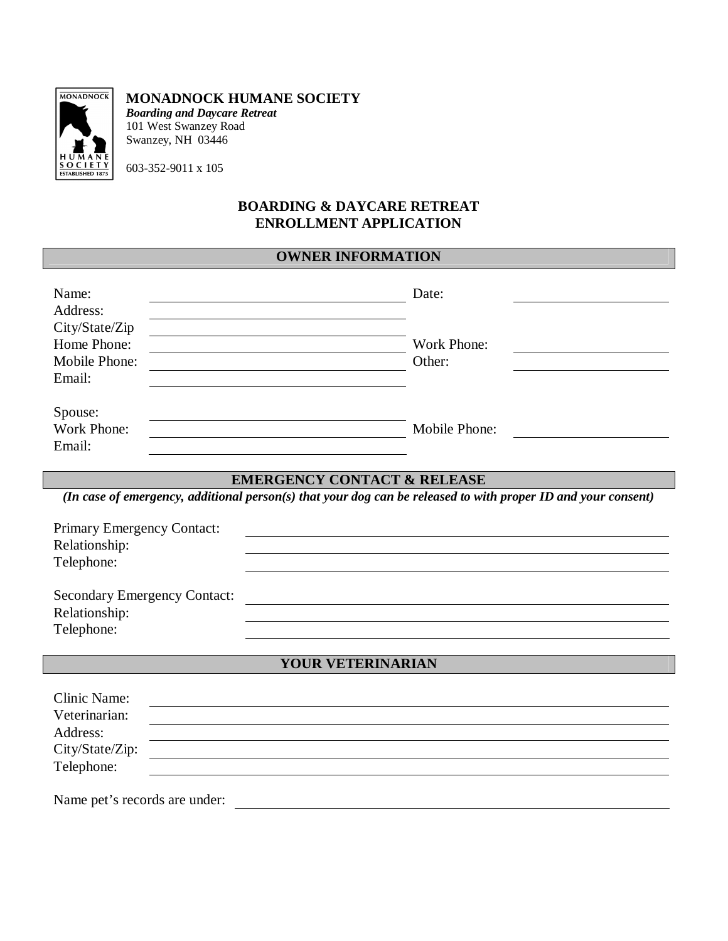

#### **MONADNOCK HUMANE SOCIETY**

*Boarding and Daycare Retreat* 101 West Swanzey Road Swanzey, NH 03446

603-352-9011 x 105

#### **BOARDING & DAYCARE RETREAT ENROLLMENT APPLICATION**

## **OWNER INFORMATION**

| Name:<br>Address:                                        | Date:                                                                                                         |
|----------------------------------------------------------|---------------------------------------------------------------------------------------------------------------|
| City/State/Zip<br>Home Phone:<br>Mobile Phone:<br>Email: | Work Phone:<br>Other:                                                                                         |
| Spouse:<br>Work Phone:<br>Email:                         | Mobile Phone:                                                                                                 |
|                                                          | <b>EMERGENCY CONTACT &amp; RELEASE</b>                                                                        |
|                                                          | (In case of emergency, additional person(s) that your dog can be released to with proper ID and your consent) |
|                                                          |                                                                                                               |
|                                                          |                                                                                                               |
| Primary Emergency Contact:                               |                                                                                                               |
| Relationship:<br>Telephone:                              |                                                                                                               |
| <b>Secondary Emergency Contact:</b><br>Relationship:     |                                                                                                               |
| Telephone:                                               |                                                                                                               |
|                                                          | YOUR VETERINARIAN                                                                                             |

Name pet's records are under: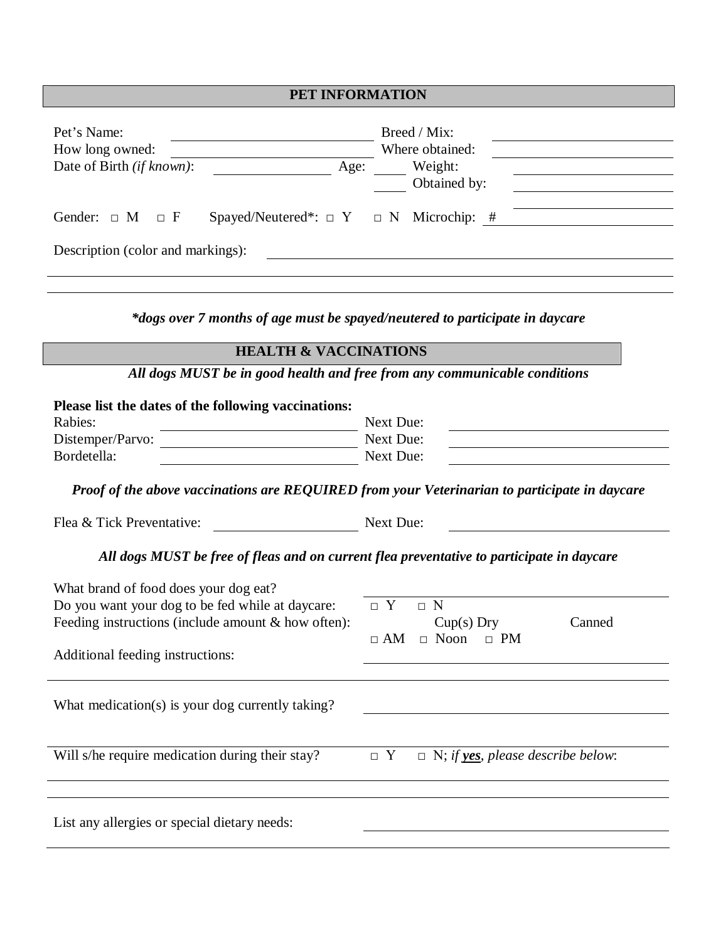# **PET INFORMATION**

| Pet's Name:<br>How long owned:<br>Date of Birth (if known):<br>Age:<br>Spayed/Neutered*: $\Box$ Y $\Box$ N Microchip: #<br>Gender: $\Box$ M<br>$\Box$ F<br>Description (color and markings):                                                                                                                                               | Breed / Mix:<br>Where obtained:<br>Weight:<br>Obtained by:                                                 |  |  |  |
|--------------------------------------------------------------------------------------------------------------------------------------------------------------------------------------------------------------------------------------------------------------------------------------------------------------------------------------------|------------------------------------------------------------------------------------------------------------|--|--|--|
|                                                                                                                                                                                                                                                                                                                                            |                                                                                                            |  |  |  |
| *dogs over 7 months of age must be spayed/neutered to participate in daycare<br><b>HEALTH &amp; VACCINATIONS</b>                                                                                                                                                                                                                           |                                                                                                            |  |  |  |
|                                                                                                                                                                                                                                                                                                                                            |                                                                                                            |  |  |  |
|                                                                                                                                                                                                                                                                                                                                            | All dogs MUST be in good health and free from any communicable conditions                                  |  |  |  |
| Please list the dates of the following vaccinations:<br>Rabies:<br>Distemper/Parvo:<br><u>and the company of the company of the company of the company of the company of the company of the company of the company of the company of the company of the company of the company of the company of the company of the com</u><br>Bordetella: | Next Due:<br><b>Next Due:</b><br><b>Next Due:</b>                                                          |  |  |  |
| Flea & Tick Preventative:                                                                                                                                                                                                                                                                                                                  | Proof of the above vaccinations are REQUIRED from your Veterinarian to participate in daycare<br>Next Due: |  |  |  |
|                                                                                                                                                                                                                                                                                                                                            | All dogs MUST be free of fleas and on current flea preventative to participate in daycare                  |  |  |  |
| What brand of food does your dog eat?<br>Do you want your dog to be fed while at daycare:<br>Feeding instructions (include amount & how often):<br>Additional feeding instructions:                                                                                                                                                        | $\Box$ Y<br>$\Box$ N<br>$Cup(s)$ Dry<br>Canned<br>$\Box$ AM $\Box$ Noon $\Box$ PM                          |  |  |  |
| What medication(s) is your dog currently taking?                                                                                                                                                                                                                                                                                           |                                                                                                            |  |  |  |
| Will s/he require medication during their stay?                                                                                                                                                                                                                                                                                            | $\Box$ N; if <b>yes</b> , please describe below:<br>$\Box$ Y                                               |  |  |  |
| List any allergies or special dietary needs:                                                                                                                                                                                                                                                                                               |                                                                                                            |  |  |  |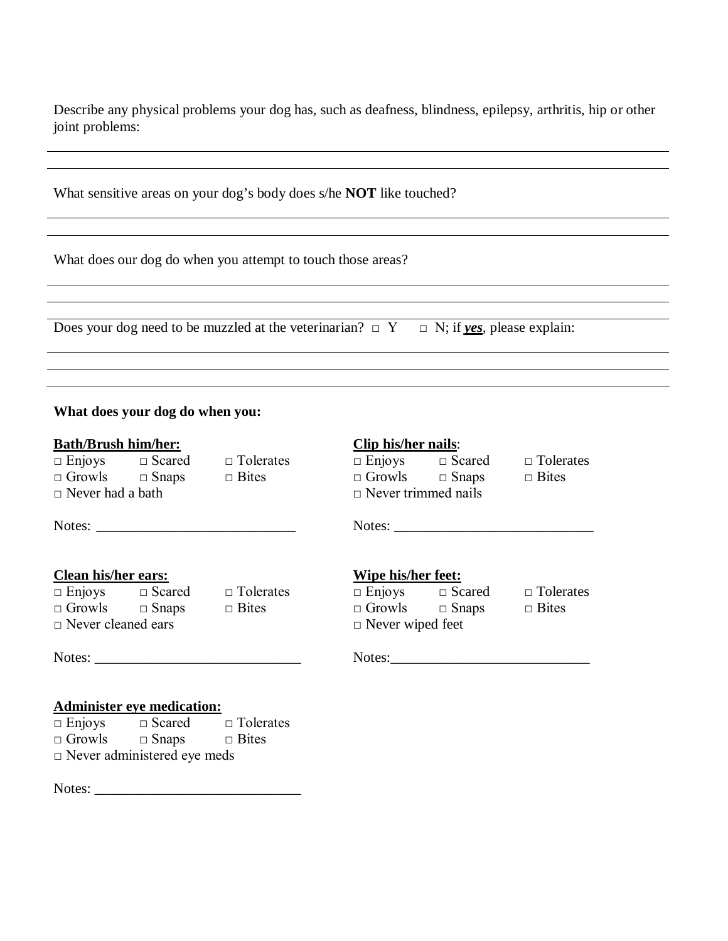Describe any physical problems your dog has, such as deafness, blindness, epilepsy, arthritis, hip or other joint problems:

|                                                                                                                                                                                                                                | What sensitive areas on your dog's body does s/he <b>NOT</b> like touched?                        |              |
|--------------------------------------------------------------------------------------------------------------------------------------------------------------------------------------------------------------------------------|---------------------------------------------------------------------------------------------------|--------------|
| What does our dog do when you attempt to touch those areas?                                                                                                                                                                    |                                                                                                   |              |
|                                                                                                                                                                                                                                |                                                                                                   |              |
|                                                                                                                                                                                                                                | Does your dog need to be muzzled at the veterinarian? $\Box$ $Y \Box N$ ; if yes, please explain: |              |
|                                                                                                                                                                                                                                |                                                                                                   |              |
|                                                                                                                                                                                                                                |                                                                                                   |              |
| What does your dog do when you:                                                                                                                                                                                                |                                                                                                   |              |
|                                                                                                                                                                                                                                |                                                                                                   |              |
|                                                                                                                                                                                                                                |                                                                                                   |              |
|                                                                                                                                                                                                                                | <b>Clip his/her nails:</b>                                                                        |              |
|                                                                                                                                                                                                                                | $\Box$ Enjoys $\Box$ Scared $\Box$ Tolerates<br>$\Box$ Growls $\Box$ Snaps $\Box$ Bites           |              |
|                                                                                                                                                                                                                                | $\Box$ Never trimmed nails                                                                        |              |
|                                                                                                                                                                                                                                |                                                                                                   |              |
|                                                                                                                                                                                                                                |                                                                                                   |              |
|                                                                                                                                                                                                                                |                                                                                                   |              |
| <b>Bath/Brush him/her:</b><br>$\Box$ Enjoys $\Box$ Scared $\Box$ Tolerates<br>$\Box$ Growls $\Box$ Snaps $\Box$ Bites<br>$\Box$ Never had a bath<br><b>Clean his/her ears:</b><br>$\Box$ Enjoys $\Box$ Scared $\Box$ Tolerates | <b>Wipe his/her feet:</b><br>$\Box$ Enjoys $\Box$ Scared $\Box$ Tolerates                         |              |
| $\Box$ Growls $\Box$ Snaps $\Box$ Bites                                                                                                                                                                                        | $\Box$ Growls $\Box$ Snaps                                                                        | $\Box$ Bites |
| $\Box$ Never cleaned ears                                                                                                                                                                                                      | $\Box$ Never wiped feet                                                                           |              |

□ Growls □ Snaps □ Bites □ Never administered eye meds

Notes: \_\_\_\_\_\_\_\_\_\_\_\_\_\_\_\_\_\_\_\_\_\_\_\_\_\_\_\_\_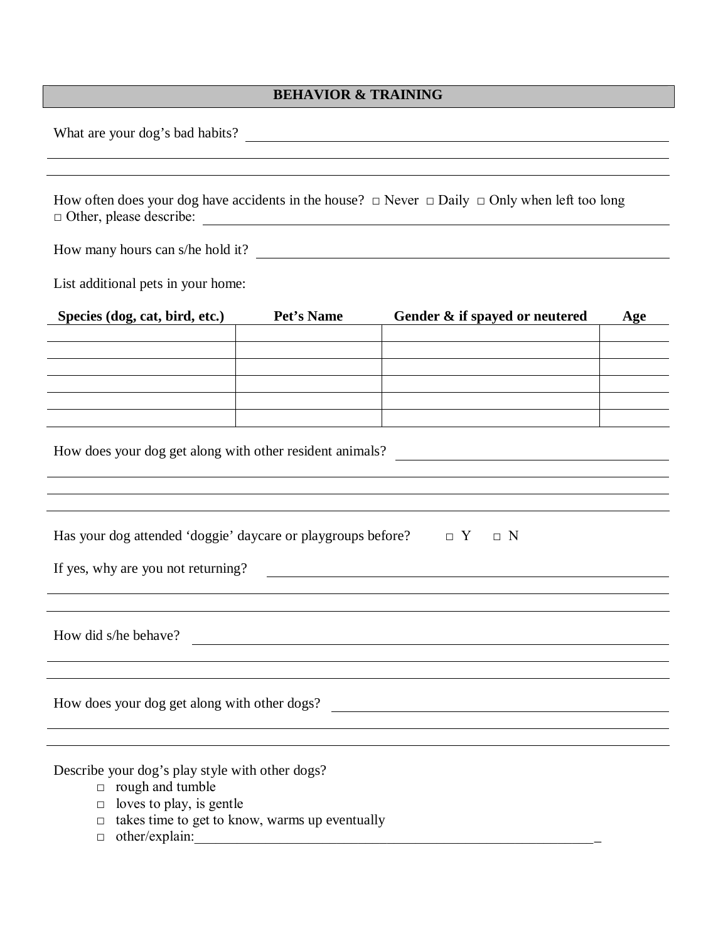## **BEHAVIOR & TRAINING**

What are your dog's bad habits?

How often does your dog have accidents in the house?  $\Box$  Never  $\Box$  Daily  $\Box$  Only when left too long □ Other, please describe:

How many hours can s/he hold it?

List additional pets in your home:

| Species (dog, cat, bird, etc.)                                                 | Pet's Name | Gender & if spayed or neutered | Age |  |
|--------------------------------------------------------------------------------|------------|--------------------------------|-----|--|
|                                                                                |            |                                |     |  |
|                                                                                |            |                                |     |  |
|                                                                                |            |                                |     |  |
|                                                                                |            |                                |     |  |
|                                                                                |            |                                |     |  |
| How does your dog get along with other resident animals?                       |            |                                |     |  |
|                                                                                |            |                                |     |  |
| Has your dog attended 'doggie' daycare or playgroups before? $\Box$ $Y \Box$ N |            |                                |     |  |
| If yes, why are you not returning?                                             |            |                                |     |  |
|                                                                                |            |                                |     |  |
|                                                                                |            |                                |     |  |
|                                                                                |            |                                |     |  |

How did s/he behave?

How does your dog get along with other dogs?

Describe your dog's play style with other dogs?

- $\Box$  rough and tumble
- $\Box$  loves to play, is gentle
- $\Box$  takes time to get to know, warms up eventually
- $\Box$  other/explain: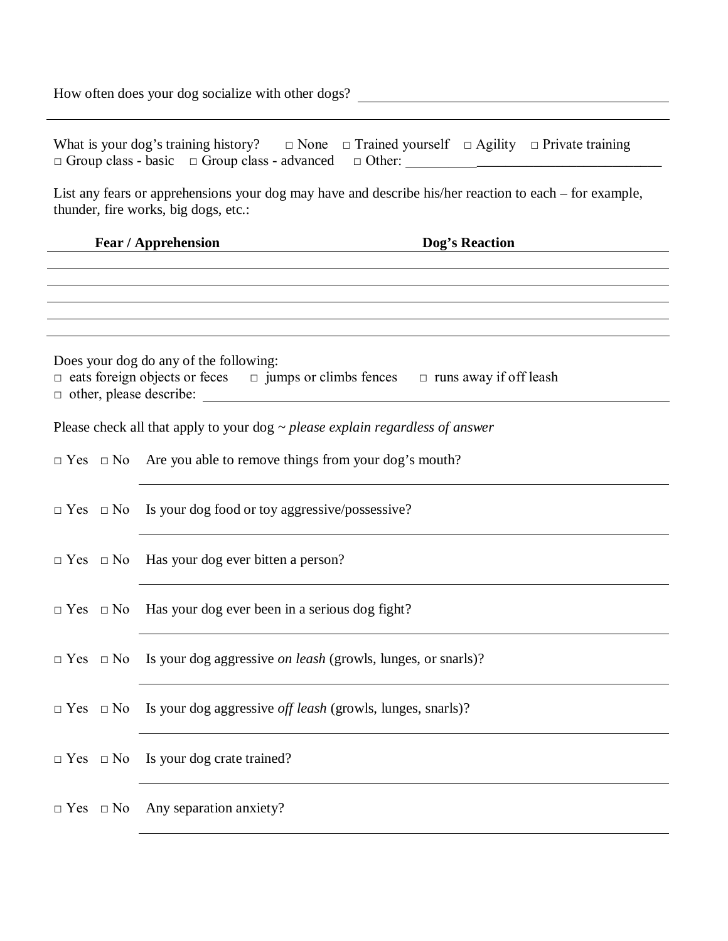How often does your dog socialize with other dogs?

|                                                                                                                                                | What is your dog's training history? $\Box$ None $\Box$ Trained yourself $\Box$ Agility $\Box$ Private training<br>$\Box$ Group class - basic $\Box$ Group class - advanced $\Box$ Other:    |  |  |  |
|------------------------------------------------------------------------------------------------------------------------------------------------|----------------------------------------------------------------------------------------------------------------------------------------------------------------------------------------------|--|--|--|
| List any fears or apprehensions your dog may have and describe his/her reaction to each – for example,<br>thunder, fire works, big dogs, etc.: |                                                                                                                                                                                              |  |  |  |
| Fear / Apprehension<br><b>Example 2 Second Dog's Reaction</b><br><u> 1980 - Andrea Station Barbara, amerikan per</u>                           |                                                                                                                                                                                              |  |  |  |
|                                                                                                                                                | ,我们也不会有什么。""我们的人,我们也不会有什么?""我们的人,我们也不会有什么?""我们的人,我们也不会有什么?""我们的人,我们也不会有什么?""我们的人                                                                                                             |  |  |  |
|                                                                                                                                                |                                                                                                                                                                                              |  |  |  |
|                                                                                                                                                | Does your dog do any of the following:<br>$\Box$ eats foreign objects or feces $\Box$ jumps or climbs fences $\Box$ runs away if off leash                                                   |  |  |  |
|                                                                                                                                                | Please check all that apply to your dog $\sim$ please explain regardless of answer                                                                                                           |  |  |  |
|                                                                                                                                                | $\Box$ Yes $\Box$ No Are you able to remove things from your dog's mouth?                                                                                                                    |  |  |  |
|                                                                                                                                                | $\Box$ Yes $\Box$ No Is your dog food or toy aggressive/possessive?<br><u> 1980 - Johann Stoff, deutscher Stoff, der Stoff, der Stoff, der Stoff, der Stoff, der Stoff, der Stoff, der S</u> |  |  |  |
|                                                                                                                                                | $\Box$ Yes $\Box$ No Has your dog ever bitten a person?                                                                                                                                      |  |  |  |
|                                                                                                                                                | $\Box$ Yes $\Box$ No Has your dog ever been in a serious dog fight?                                                                                                                          |  |  |  |
| $\Box$ Yes $\Box$ No                                                                                                                           | Is your dog aggressive <i>on leash</i> (growls, lunges, or snarls)?                                                                                                                          |  |  |  |
|                                                                                                                                                | $\Box$ Yes $\Box$ No Is your dog aggressive <i>off leash</i> (growls, lunges, snarls)?                                                                                                       |  |  |  |
|                                                                                                                                                | $\Box$ Yes $\Box$ No Is your dog crate trained?                                                                                                                                              |  |  |  |
| $\Box$ Yes $\Box$ No                                                                                                                           | Any separation anxiety?                                                                                                                                                                      |  |  |  |